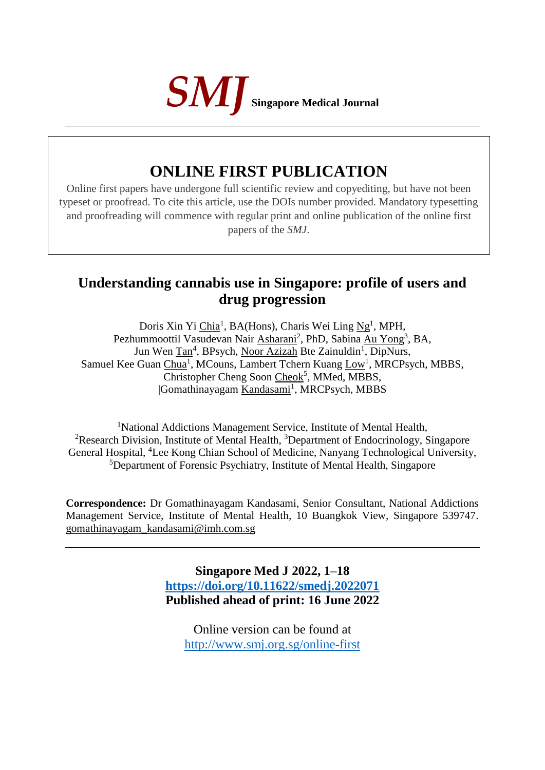

# **ONLINE FIRST PUBLICATION**

Online first papers have undergone full scientific review and copyediting, but have not been typeset or proofread. To cite this article, use the DOIs number provided. Mandatory typesetting and proofreading will commence with regular print and online publication of the online first papers of the *SMJ*.

## **Understanding cannabis use in Singapore: profile of users and drug progression**

Doris Xin Yi Chia<sup>1</sup>, BA(Hons), Charis Wei Ling Ng<sup>1</sup>, MPH, Pezhummoottil Vasudevan Nair Asharani<sup>2</sup>, PhD, Sabina Au Yong<sup>3</sup>, BA, Jun Wen Tan<sup>4</sup>, BPsych, Noor Azizah Bte Zainuldin<sup>1</sup>, DipNurs, Samuel Kee Guan Chua<sup>1</sup>, MCouns, Lambert Tchern Kuang Low<sup>1</sup>, MRCPsych, MBBS, Christopher Cheng Soon Cheok<sup>5</sup>, MMed, MBBS, Gomathinayagam Kandasami<sup>1</sup>, MRCPsych, MBBS

<sup>1</sup>National Addictions Management Service, Institute of Mental Health, <sup>2</sup>Research Division, Institute of Mental Health, <sup>3</sup>Department of Endocrinology, Singapore General Hospital, <sup>4</sup>Lee Kong Chian School of Medicine, Nanyang Technological University, <sup>5</sup>Department of Forensic Psychiatry, Institute of Mental Health, Singapore

**Correspondence:** Dr Gomathinayagam Kandasami, Senior Consultant, National Addictions Management Service, Institute of Mental Health, 10 Buangkok View, Singapore 539747. [gomathinayagam\\_kandasami@imh.com.sg](about:blank)

> **Singapore Med J 2022, 1–18 <https://doi.org/10.11622/smedj.2022071> Published ahead of print: 16 June 2022**

Online version can be found at <http://www.smj.org.sg/online-first>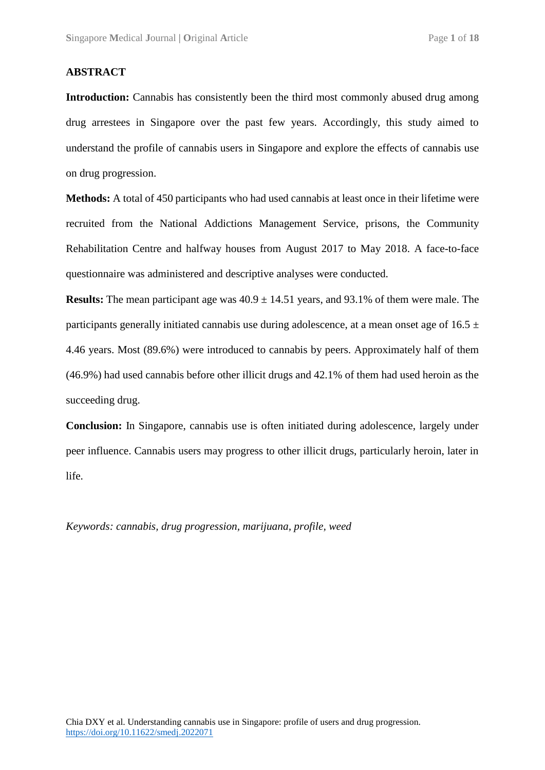#### **ABSTRACT**

**Introduction:** Cannabis has consistently been the third most commonly abused drug among drug arrestees in Singapore over the past few years. Accordingly, this study aimed to understand the profile of cannabis users in Singapore and explore the effects of cannabis use on drug progression.

**Methods:** A total of 450 participants who had used cannabis at least once in their lifetime were recruited from the National Addictions Management Service, prisons, the Community Rehabilitation Centre and halfway houses from August 2017 to May 2018. A face-to-face questionnaire was administered and descriptive analyses were conducted.

**Results:** The mean participant age was  $40.9 \pm 14.51$  years, and 93.1% of them were male. The participants generally initiated cannabis use during adolescence, at a mean onset age of  $16.5 \pm$ 4.46 years. Most (89.6%) were introduced to cannabis by peers. Approximately half of them (46.9%) had used cannabis before other illicit drugs and 42.1% of them had used heroin as the succeeding drug.

**Conclusion:** In Singapore, cannabis use is often initiated during adolescence, largely under peer influence. Cannabis users may progress to other illicit drugs, particularly heroin, later in life.

*Keywords: cannabis, drug progression, marijuana, profile, weed*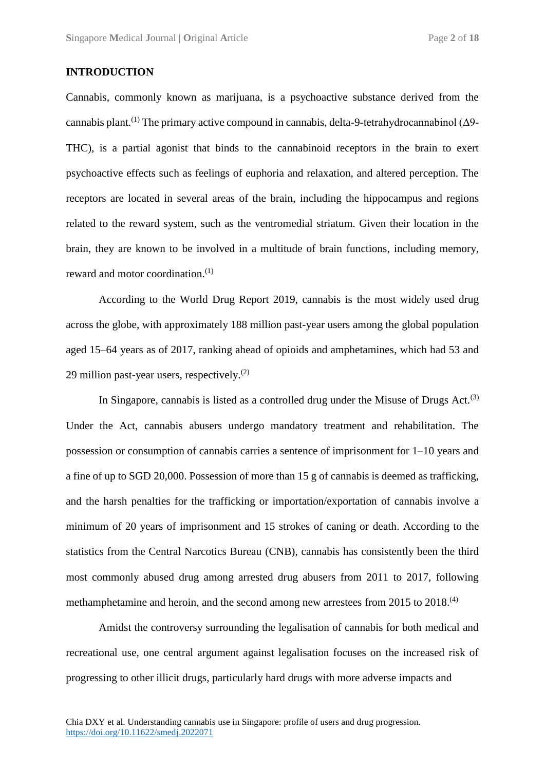#### **INTRODUCTION**

Cannabis, commonly known as marijuana, is a psychoactive substance derived from the cannabis plant.<sup>(1)</sup> The primary active compound in cannabis, delta-9-tetrahydrocannabinol ( $\Delta$ 9-THC), is a partial agonist that binds to the cannabinoid receptors in the brain to exert psychoactive effects such as feelings of euphoria and relaxation, and altered perception. The receptors are located in several areas of the brain, including the hippocampus and regions related to the reward system, such as the ventromedial striatum. Given their location in the brain, they are known to be involved in a multitude of brain functions, including memory, reward and motor coordination.<sup>(1)</sup>

According to the World Drug Report 2019, cannabis is the most widely used drug across the globe, with approximately 188 million past-year users among the global population aged 15–64 years as of 2017, ranking ahead of opioids and amphetamines, which had 53 and 29 million past-year users, respectively. $(2)$ 

In Singapore, cannabis is listed as a controlled drug under the Misuse of Drugs Act.<sup>(3)</sup> Under the Act, cannabis abusers undergo mandatory treatment and rehabilitation. The possession or consumption of cannabis carries a sentence of imprisonment for 1–10 years and a fine of up to SGD 20,000. Possession of more than 15 g of cannabis is deemed as trafficking, and the harsh penalties for the trafficking or importation/exportation of cannabis involve a minimum of 20 years of imprisonment and 15 strokes of caning or death. According to the statistics from the Central Narcotics Bureau (CNB), cannabis has consistently been the third most commonly abused drug among arrested drug abusers from 2011 to 2017, following methamphetamine and heroin, and the second among new arrestees from 2015 to 2018.<sup>(4)</sup>

Amidst the controversy surrounding the legalisation of cannabis for both medical and recreational use, one central argument against legalisation focuses on the increased risk of progressing to other illicit drugs, particularly hard drugs with more adverse impacts and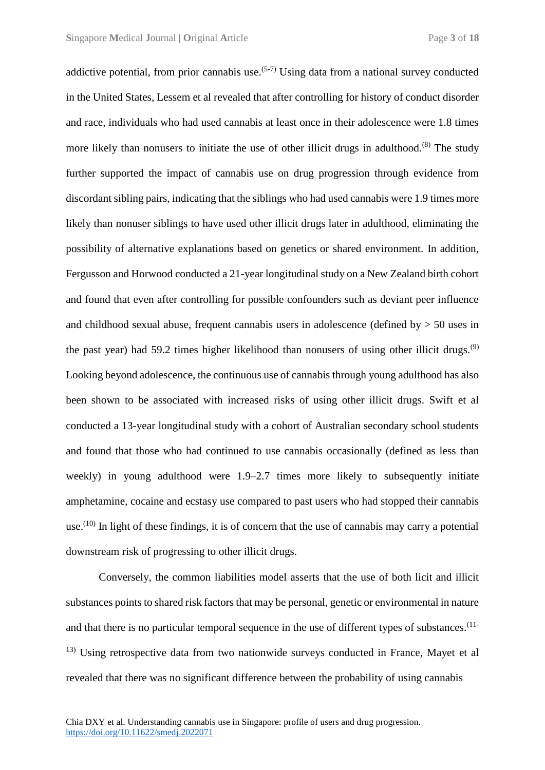addictive potential, from prior cannabis use.<sup> $(5-7)$ </sup> Using data from a national survey conducted in the United States, Lessem et al revealed that after controlling for history of conduct disorder and race, individuals who had used cannabis at least once in their adolescence were 1.8 times more likely than nonusers to initiate the use of other illicit drugs in adulthood.<sup>(8)</sup> The study further supported the impact of cannabis use on drug progression through evidence from discordant sibling pairs, indicating that the siblings who had used cannabis were 1.9 times more likely than nonuser siblings to have used other illicit drugs later in adulthood, eliminating the possibility of alternative explanations based on genetics or shared environment. In addition, Fergusson and Horwood conducted a 21-year longitudinal study on a New Zealand birth cohort and found that even after controlling for possible confounders such as deviant peer influence and childhood sexual abuse, frequent cannabis users in adolescence (defined by  $> 50$  uses in the past year) had 59.2 times higher likelihood than nonusers of using other illicit drugs.<sup>(9)</sup> Looking beyond adolescence, the continuous use of cannabis through young adulthood has also been shown to be associated with increased risks of using other illicit drugs. Swift et al conducted a 13-year longitudinal study with a cohort of Australian secondary school students and found that those who had continued to use cannabis occasionally (defined as less than weekly) in young adulthood were 1.9–2.7 times more likely to subsequently initiate amphetamine, cocaine and ecstasy use compared to past users who had stopped their cannabis use.<sup> $(10)$ </sup> In light of these findings, it is of concern that the use of cannabis may carry a potential downstream risk of progressing to other illicit drugs.

Conversely, the common liabilities model asserts that the use of both licit and illicit substances points to shared risk factors that may be personal, genetic or environmental in nature and that there is no particular temporal sequence in the use of different types of substances.<sup>(11-</sup> <sup>13)</sup> Using retrospective data from two nationwide surveys conducted in France, Mayet et al revealed that there was no significant difference between the probability of using cannabis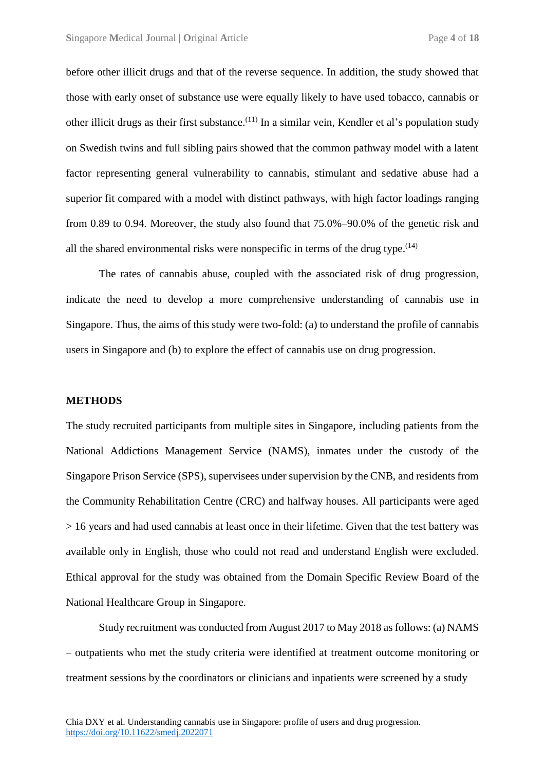before other illicit drugs and that of the reverse sequence. In addition, the study showed that those with early onset of substance use were equally likely to have used tobacco, cannabis or other illicit drugs as their first substance.<sup>(11)</sup> In a similar vein, Kendler et al's population study on Swedish twins and full sibling pairs showed that the common pathway model with a latent factor representing general vulnerability to cannabis, stimulant and sedative abuse had a superior fit compared with a model with distinct pathways, with high factor loadings ranging from 0.89 to 0.94. Moreover, the study also found that 75.0%–90.0% of the genetic risk and all the shared environmental risks were nonspecific in terms of the drug type.  $(14)$ 

The rates of cannabis abuse, coupled with the associated risk of drug progression, indicate the need to develop a more comprehensive understanding of cannabis use in Singapore. Thus, the aims of this study were two-fold: (a) to understand the profile of cannabis users in Singapore and (b) to explore the effect of cannabis use on drug progression.

#### **METHODS**

The study recruited participants from multiple sites in Singapore, including patients from the National Addictions Management Service (NAMS), inmates under the custody of the Singapore Prison Service (SPS), supervisees under supervision by the CNB, and residents from the Community Rehabilitation Centre (CRC) and halfway houses. All participants were aged > 16 years and had used cannabis at least once in their lifetime. Given that the test battery was available only in English, those who could not read and understand English were excluded. Ethical approval for the study was obtained from the Domain Specific Review Board of the National Healthcare Group in Singapore.

Study recruitment was conducted from August 2017 to May 2018 as follows: (a) NAMS – outpatients who met the study criteria were identified at treatment outcome monitoring or treatment sessions by the coordinators or clinicians and inpatients were screened by a study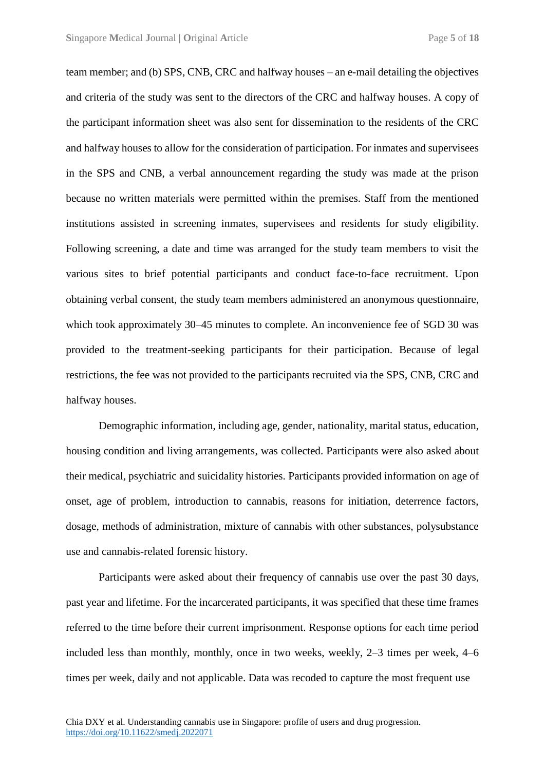team member; and (b) SPS, CNB, CRC and halfway houses – an e-mail detailing the objectives and criteria of the study was sent to the directors of the CRC and halfway houses. A copy of the participant information sheet was also sent for dissemination to the residents of the CRC and halfway houses to allow for the consideration of participation. For inmates and supervisees in the SPS and CNB, a verbal announcement regarding the study was made at the prison because no written materials were permitted within the premises. Staff from the mentioned institutions assisted in screening inmates, supervisees and residents for study eligibility. Following screening, a date and time was arranged for the study team members to visit the various sites to brief potential participants and conduct face-to-face recruitment. Upon obtaining verbal consent, the study team members administered an anonymous questionnaire, which took approximately 30–45 minutes to complete. An inconvenience fee of SGD 30 was provided to the treatment-seeking participants for their participation. Because of legal restrictions, the fee was not provided to the participants recruited via the SPS, CNB, CRC and halfway houses.

Demographic information, including age, gender, nationality, marital status, education, housing condition and living arrangements, was collected. Participants were also asked about their medical, psychiatric and suicidality histories. Participants provided information on age of onset, age of problem, introduction to cannabis, reasons for initiation, deterrence factors, dosage, methods of administration, mixture of cannabis with other substances, polysubstance use and cannabis-related forensic history.

Participants were asked about their frequency of cannabis use over the past 30 days, past year and lifetime. For the incarcerated participants, it was specified that these time frames referred to the time before their current imprisonment. Response options for each time period included less than monthly, monthly, once in two weeks, weekly, 2–3 times per week, 4–6 times per week, daily and not applicable. Data was recoded to capture the most frequent use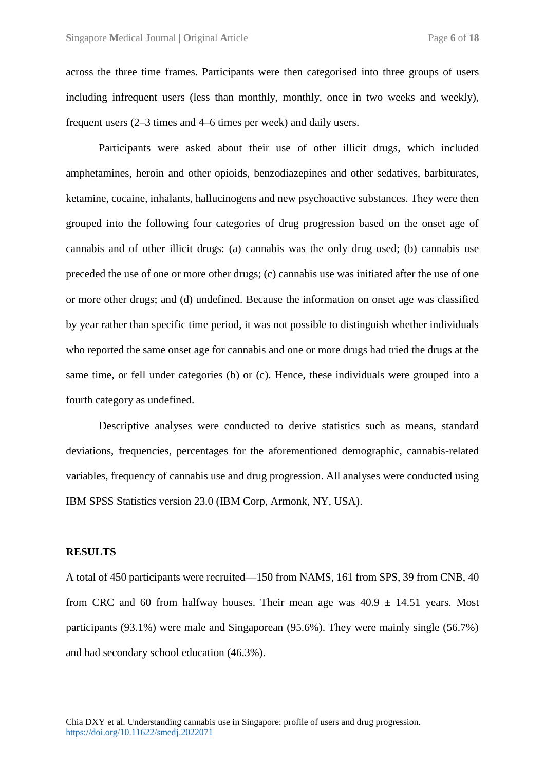across the three time frames. Participants were then categorised into three groups of users including infrequent users (less than monthly, monthly, once in two weeks and weekly), frequent users (2–3 times and 4–6 times per week) and daily users.

Participants were asked about their use of other illicit drugs, which included amphetamines, heroin and other opioids, benzodiazepines and other sedatives, barbiturates, ketamine, cocaine, inhalants, hallucinogens and new psychoactive substances. They were then grouped into the following four categories of drug progression based on the onset age of cannabis and of other illicit drugs: (a) cannabis was the only drug used; (b) cannabis use preceded the use of one or more other drugs; (c) cannabis use was initiated after the use of one or more other drugs; and (d) undefined. Because the information on onset age was classified by year rather than specific time period, it was not possible to distinguish whether individuals who reported the same onset age for cannabis and one or more drugs had tried the drugs at the same time, or fell under categories (b) or (c). Hence, these individuals were grouped into a fourth category as undefined.

Descriptive analyses were conducted to derive statistics such as means, standard deviations, frequencies, percentages for the aforementioned demographic, cannabis-related variables, frequency of cannabis use and drug progression. All analyses were conducted using IBM SPSS Statistics version 23.0 (IBM Corp, Armonk, NY, USA).

#### **RESULTS**

A total of 450 participants were recruited—150 from NAMS, 161 from SPS, 39 from CNB, 40 from CRC and 60 from halfway houses. Their mean age was  $40.9 \pm 14.51$  years. Most participants (93.1%) were male and Singaporean (95.6%). They were mainly single (56.7%) and had secondary school education (46.3%).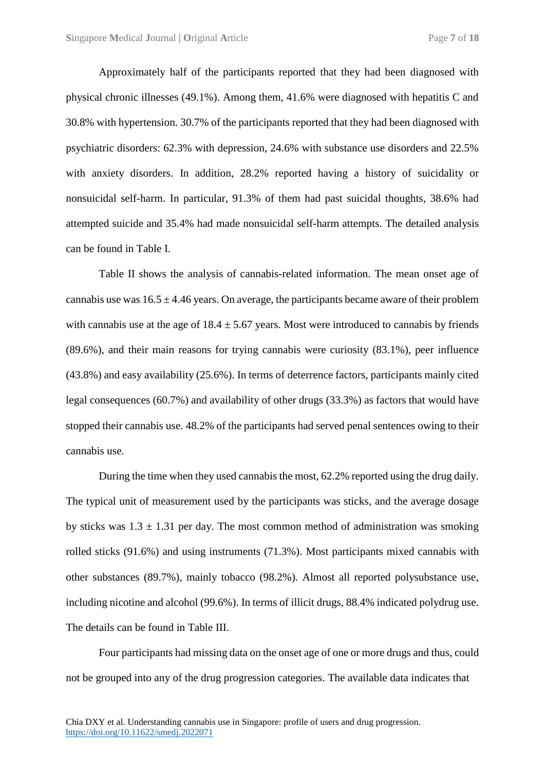Approximately half of the participants reported that they had been diagnosed with physical chronic illnesses (49.1%). Among them, 41.6% were diagnosed with hepatitis C and 30.8% with hypertension. 30.7% of the participants reported that they had been diagnosed with psychiatric disorders: 62.3% with depression, 24.6% with substance use disorders and 22.5% with anxiety disorders. In addition, 28.2% reported having a history of suicidality or nonsuicidal self-harm. In particular, 91.3% of them had past suicidal thoughts, 38.6% had attempted suicide and 35.4% had made nonsuicidal self-harm attempts. The detailed analysis can be found in Table I.

Table II shows the analysis of cannabis-related information. The mean onset age of cannabis use was  $16.5 \pm 4.46$  years. On average, the participants became aware of their problem with cannabis use at the age of  $18.4 \pm 5.67$  years. Most were introduced to cannabis by friends (89.6%), and their main reasons for trying cannabis were curiosity (83.1%), peer influence (43.8%) and easy availability (25.6%). In terms of deterrence factors, participants mainly cited legal consequences (60.7%) and availability of other drugs (33.3%) as factors that would have stopped their cannabis use. 48.2% of the participants had served penal sentences owing to their cannabis use.

During the time when they used cannabis the most, 62.2% reported using the drug daily. The typical unit of measurement used by the participants was sticks, and the average dosage by sticks was  $1.3 \pm 1.31$  per day. The most common method of administration was smoking rolled sticks (91.6%) and using instruments (71.3%). Most participants mixed cannabis with other substances (89.7%), mainly tobacco (98.2%). Almost all reported polysubstance use, including nicotine and alcohol (99.6%). In terms of illicit drugs, 88.4% indicated polydrug use. The details can be found in Table III.

Four participants had missing data on the onset age of one or more drugs and thus, could not be grouped into any of the drug progression categories. The available data indicates that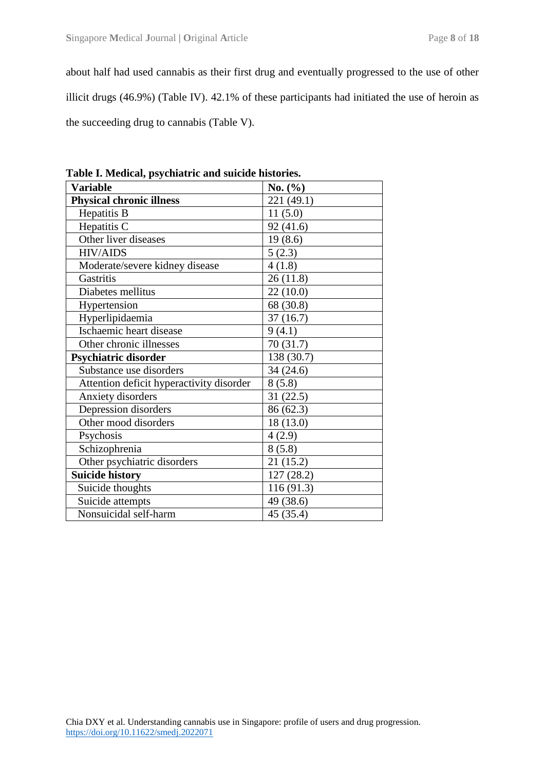about half had used cannabis as their first drug and eventually progressed to the use of other illicit drugs (46.9%) (Table IV). 42.1% of these participants had initiated the use of heroin as the succeeding drug to cannabis (Table V).

| <b>Variable</b>                          | No. $(\% )$ |
|------------------------------------------|-------------|
| <b>Physical chronic illness</b>          | 221 (49.1)  |
| Hepatitis B                              | 11(5.0)     |
| Hepatitis C                              | 92(41.6)    |
| Other liver diseases                     | 19(8.6)     |
| <b>HIV/AIDS</b>                          | 5(2.3)      |
| Moderate/severe kidney disease           | 4(1.8)      |
| Gastritis                                | 26(11.8)    |
| Diabetes mellitus                        | 22(10.0)    |
| Hypertension                             | 68 (30.8)   |
| Hyperlipidaemia                          | 37(16.7)    |
| Ischaemic heart disease                  | 9(4.1)      |
| Other chronic illnesses                  | 70(31.7)    |
| Psychiatric disorder                     | 138 (30.7)  |
| Substance use disorders                  | 34(24.6)    |
| Attention deficit hyperactivity disorder | 8(5.8)      |
| Anxiety disorders                        | 31(22.5)    |
| Depression disorders                     | 86 (62.3)   |
| Other mood disorders                     | 18(13.0)    |
| Psychosis                                | 4(2.9)      |
| Schizophrenia                            | 8(5.8)      |
| Other psychiatric disorders              | 21(15.2)    |
| <b>Suicide history</b>                   | 127(28.2)   |
| Suicide thoughts                         | 116(91.3)   |
| Suicide attempts                         | 49 (38.6)   |
| Nonsuicidal self-harm                    | 45 (35.4)   |

**Table I. Medical, psychiatric and suicide histories.**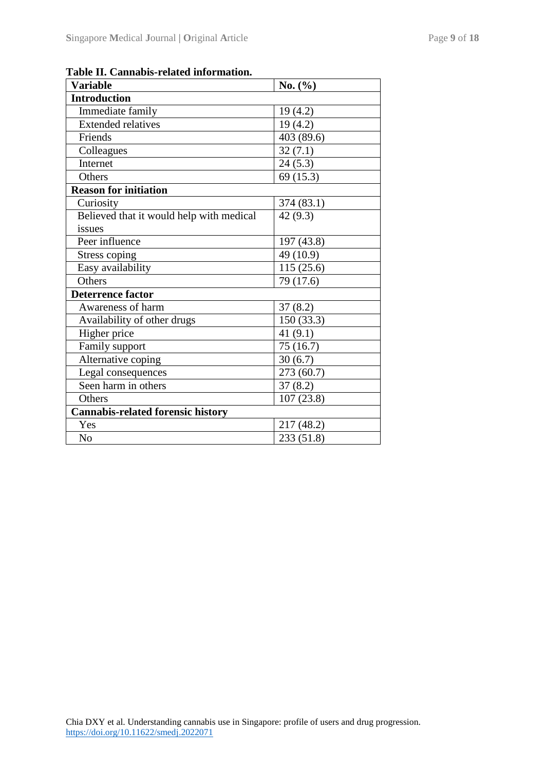| <b>Variable</b>                          | No. (%)    |  |
|------------------------------------------|------------|--|
| <b>Introduction</b>                      |            |  |
| Immediate family                         | 19(4.2)    |  |
| <b>Extended relatives</b>                | 19(4.2)    |  |
| Friends                                  | 403 (89.6) |  |
| Colleagues                               | 32(7.1)    |  |
| Internet                                 | 24(5.3)    |  |
| Others                                   | 69 (15.3)  |  |
| <b>Reason for initiation</b>             |            |  |
| Curiosity                                | 374 (83.1) |  |
| Believed that it would help with medical | 42(9.3)    |  |
| issues                                   |            |  |
| Peer influence                           | 197 (43.8) |  |
| Stress coping                            | 49 (10.9)  |  |
| Easy availability                        | 115(25.6)  |  |
| Others                                   | 79 (17.6)  |  |
| <b>Deterrence factor</b>                 |            |  |
| Awareness of harm                        | 37(8.2)    |  |
| Availability of other drugs              | 150(33.3)  |  |
| Higher price                             | 41 $(9.1)$ |  |
| Family support                           | 75(16.7)   |  |
| Alternative coping                       | 30(6.7)    |  |
| Legal consequences                       | 273 (60.7) |  |
| Seen harm in others                      | 37(8.2)    |  |
| Others                                   | 107(23.8)  |  |
| <b>Cannabis-related forensic history</b> |            |  |
| Yes                                      | 217 (48.2) |  |
| N <sub>o</sub>                           | 233 (51.8) |  |

**Table II. Cannabis-related information.**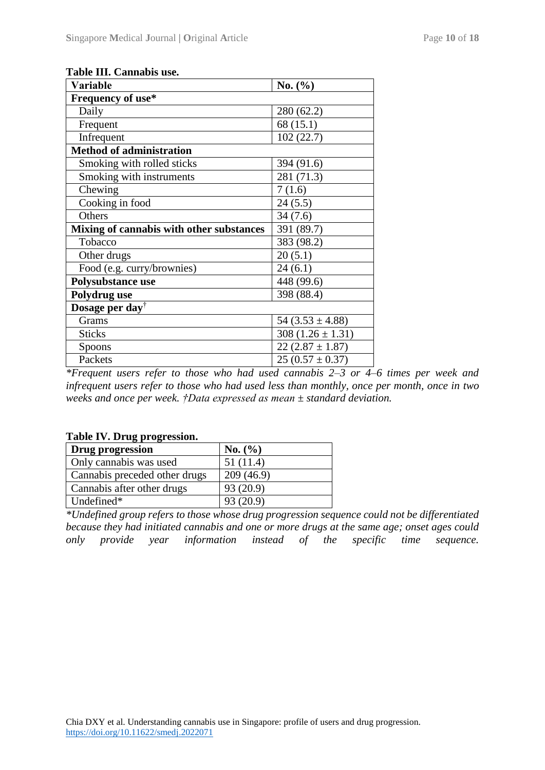| Variable                                 | No. $(\% )$           |  |
|------------------------------------------|-----------------------|--|
| Frequency of use*                        |                       |  |
| Daily                                    | 280 (62.2)            |  |
| Frequent                                 | 68 (15.1)             |  |
| Infrequent                               | 102(22.7)             |  |
| <b>Method of administration</b>          |                       |  |
| Smoking with rolled sticks               | 394 (91.6)            |  |
| Smoking with instruments                 | 281 (71.3)            |  |
| Chewing                                  | 7(1.6)                |  |
| Cooking in food                          | 24(5.5)               |  |
| Others                                   | 34(7.6)               |  |
| Mixing of cannabis with other substances | 391 (89.7)            |  |
| Tobacco                                  | 383 (98.2)            |  |
| Other drugs                              | 20(5.1)               |  |
| Food (e.g. curry/brownies)               | 24(6.1)               |  |
| Polysubstance use                        | 448 (99.6)            |  |
| Polydrug use                             | 398 (88.4)            |  |
| Dosage per day <sup>†</sup>              |                       |  |
| Grams                                    | 54 $(3.53 \pm 4.88)$  |  |
| <b>Sticks</b>                            | 308 $(1.26 \pm 1.31)$ |  |
| Spoons                                   | $22(2.87 \pm 1.87)$   |  |
| Packets                                  | $25(0.57 \pm 0.37)$   |  |

#### **Table III. Cannabis use.**

*\*Frequent users refer to those who had used cannabis 2–3 or 4–6 times per week and infrequent users refer to those who had used less than monthly, once per month, once in two weeks and once per week. †Data expressed as mean ± standard deviation.*

### **Table IV. Drug progression.**

| Drug progression              | No. (%)   |
|-------------------------------|-----------|
| Only cannabis was used        | 51(11.4)  |
| Cannabis preceded other drugs | 209(46.9) |
| Cannabis after other drugs    | 93 (20.9) |
| Undefined*                    | 93(20.9)  |

*\*Undefined group refers to those whose drug progression sequence could not be differentiated because they had initiated cannabis and one or more drugs at the same age; onset ages could only provide year information instead of the specific time sequence.*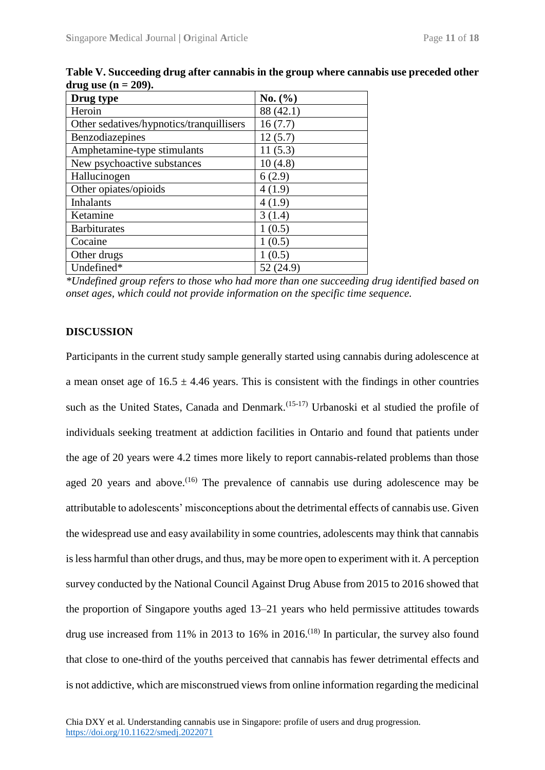| Drug type                                | No. (%)   |
|------------------------------------------|-----------|
| Heroin                                   | 88 (42.1) |
| Other sedatives/hypnotics/tranquillisers | 16(7.7)   |
| Benzodiazepines                          | 12(5.7)   |
| Amphetamine-type stimulants              | 11(5.3)   |
| New psychoactive substances              | 10(4.8)   |
| Hallucinogen                             | 6(2.9)    |
| Other opiates/opioids                    | 4(1.9)    |
| <b>Inhalants</b>                         | 4(1.9)    |
| Ketamine                                 | 3(1.4)    |
| <b>Barbiturates</b>                      | 1(0.5)    |
| Cocaine                                  | 1(0.5)    |
| Other drugs                              | 1(0.5)    |
| Undefined*                               | 52 (24.9) |

**Table V. Succeeding drug after cannabis in the group where cannabis use preceded other**  drug use  $(n = 209)$ .

*\*Undefined group refers to those who had more than one succeeding drug identified based on onset ages, which could not provide information on the specific time sequence.*

#### **DISCUSSION**

Participants in the current study sample generally started using cannabis during adolescence at a mean onset age of  $16.5 \pm 4.46$  years. This is consistent with the findings in other countries such as the United States, Canada and Denmark.<sup> $(15-17)$ </sup> Urbanoski et al studied the profile of individuals seeking treatment at addiction facilities in Ontario and found that patients under the age of 20 years were 4.2 times more likely to report cannabis-related problems than those aged 20 years and above.<sup> $(16)$ </sup> The prevalence of cannabis use during adolescence may be attributable to adolescents' misconceptions about the detrimental effects of cannabis use. Given the widespread use and easy availability in some countries, adolescents may think that cannabis is less harmful than other drugs, and thus, may be more open to experiment with it. A perception survey conducted by the National Council Against Drug Abuse from 2015 to 2016 showed that the proportion of Singapore youths aged 13–21 years who held permissive attitudes towards drug use increased from 11% in 2013 to 16% in 2016.<sup>(18)</sup> In particular, the survey also found that close to one-third of the youths perceived that cannabis has fewer detrimental effects and is not addictive, which are misconstrued views from online information regarding the medicinal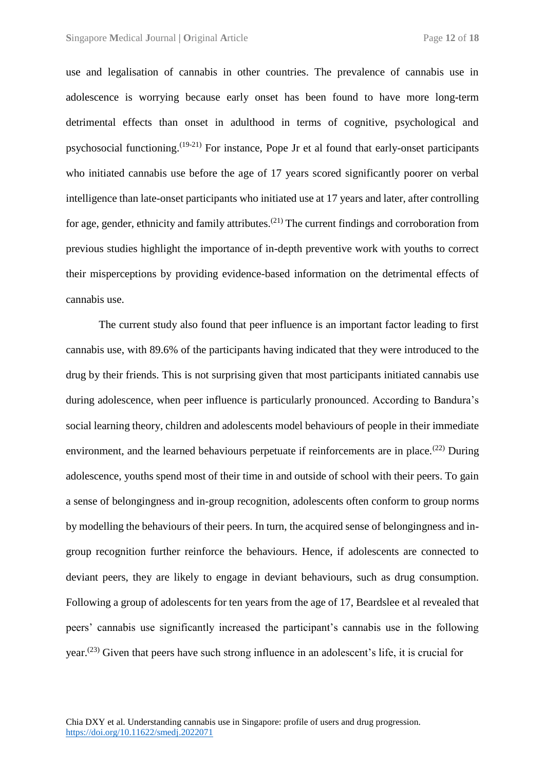use and legalisation of cannabis in other countries. The prevalence of cannabis use in adolescence is worrying because early onset has been found to have more long-term detrimental effects than onset in adulthood in terms of cognitive, psychological and psychosocial functioning.(19-21) For instance, Pope Jr et al found that early-onset participants who initiated cannabis use before the age of 17 years scored significantly poorer on verbal intelligence than late-onset participants who initiated use at 17 years and later, after controlling for age, gender, ethnicity and family attributes.<sup>(21)</sup> The current findings and corroboration from previous studies highlight the importance of in-depth preventive work with youths to correct their misperceptions by providing evidence-based information on the detrimental effects of cannabis use.

The current study also found that peer influence is an important factor leading to first cannabis use, with 89.6% of the participants having indicated that they were introduced to the drug by their friends. This is not surprising given that most participants initiated cannabis use during adolescence, when peer influence is particularly pronounced. According to Bandura's social learning theory, children and adolescents model behaviours of people in their immediate environment, and the learned behaviours perpetuate if reinforcements are in place.<sup>(22)</sup> During adolescence, youths spend most of their time in and outside of school with their peers. To gain a sense of belongingness and in-group recognition, adolescents often conform to group norms by modelling the behaviours of their peers. In turn, the acquired sense of belongingness and ingroup recognition further reinforce the behaviours. Hence, if adolescents are connected to deviant peers, they are likely to engage in deviant behaviours, such as drug consumption. Following a group of adolescents for ten years from the age of 17, Beardslee et al revealed that peers' cannabis use significantly increased the participant's cannabis use in the following year.(23) Given that peers have such strong influence in an adolescent's life, it is crucial for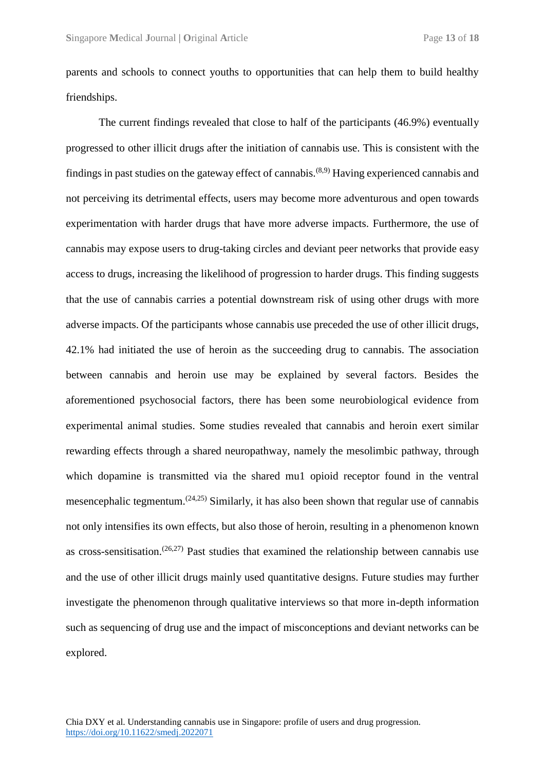parents and schools to connect youths to opportunities that can help them to build healthy friendships.

The current findings revealed that close to half of the participants (46.9%) eventually progressed to other illicit drugs after the initiation of cannabis use. This is consistent with the findings in past studies on the gateway effect of cannabis.<sup> $(8,9)$ </sup> Having experienced cannabis and not perceiving its detrimental effects, users may become more adventurous and open towards experimentation with harder drugs that have more adverse impacts. Furthermore, the use of cannabis may expose users to drug-taking circles and deviant peer networks that provide easy access to drugs, increasing the likelihood of progression to harder drugs. This finding suggests that the use of cannabis carries a potential downstream risk of using other drugs with more adverse impacts. Of the participants whose cannabis use preceded the use of other illicit drugs, 42.1% had initiated the use of heroin as the succeeding drug to cannabis. The association between cannabis and heroin use may be explained by several factors. Besides the aforementioned psychosocial factors, there has been some neurobiological evidence from experimental animal studies. Some studies revealed that cannabis and heroin exert similar rewarding effects through a shared neuropathway, namely the mesolimbic pathway, through which dopamine is transmitted via the shared mu1 opioid receptor found in the ventral mesencephalic tegmentum.<sup> $(24,25)$ </sup> Similarly, it has also been shown that regular use of cannabis not only intensifies its own effects, but also those of heroin, resulting in a phenomenon known as cross-sensitisation.<sup> $(26,27)$ </sup> Past studies that examined the relationship between cannabis use and the use of other illicit drugs mainly used quantitative designs. Future studies may further investigate the phenomenon through qualitative interviews so that more in-depth information such as sequencing of drug use and the impact of misconceptions and deviant networks can be explored.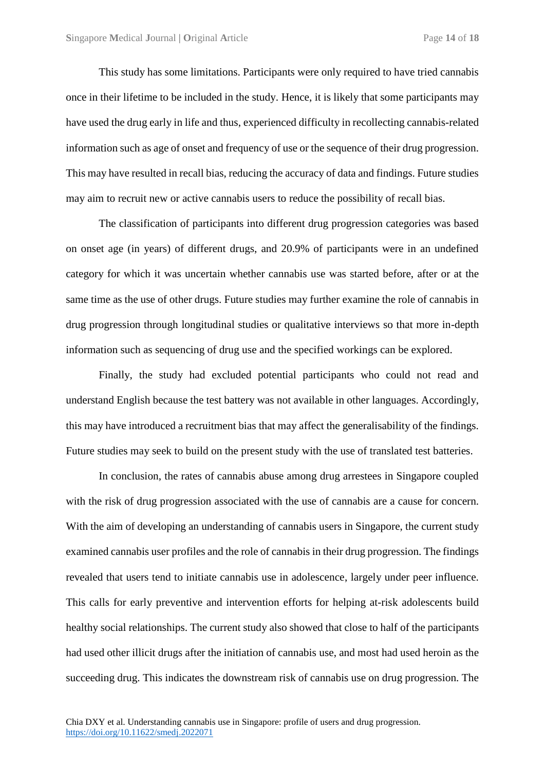This study has some limitations. Participants were only required to have tried cannabis once in their lifetime to be included in the study. Hence, it is likely that some participants may have used the drug early in life and thus, experienced difficulty in recollecting cannabis-related information such as age of onset and frequency of use or the sequence of their drug progression. This may have resulted in recall bias, reducing the accuracy of data and findings. Future studies may aim to recruit new or active cannabis users to reduce the possibility of recall bias.

The classification of participants into different drug progression categories was based on onset age (in years) of different drugs, and 20.9% of participants were in an undefined category for which it was uncertain whether cannabis use was started before, after or at the same time as the use of other drugs. Future studies may further examine the role of cannabis in drug progression through longitudinal studies or qualitative interviews so that more in-depth information such as sequencing of drug use and the specified workings can be explored.

Finally, the study had excluded potential participants who could not read and understand English because the test battery was not available in other languages. Accordingly, this may have introduced a recruitment bias that may affect the generalisability of the findings. Future studies may seek to build on the present study with the use of translated test batteries.

In conclusion, the rates of cannabis abuse among drug arrestees in Singapore coupled with the risk of drug progression associated with the use of cannabis are a cause for concern. With the aim of developing an understanding of cannabis users in Singapore, the current study examined cannabis user profiles and the role of cannabis in their drug progression. The findings revealed that users tend to initiate cannabis use in adolescence, largely under peer influence. This calls for early preventive and intervention efforts for helping at-risk adolescents build healthy social relationships. The current study also showed that close to half of the participants had used other illicit drugs after the initiation of cannabis use, and most had used heroin as the succeeding drug. This indicates the downstream risk of cannabis use on drug progression. The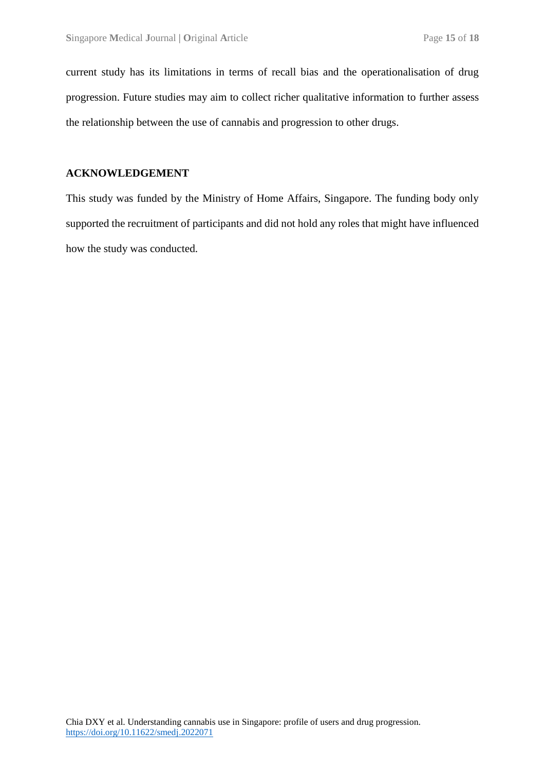current study has its limitations in terms of recall bias and the operationalisation of drug progression. Future studies may aim to collect richer qualitative information to further assess the relationship between the use of cannabis and progression to other drugs.

#### **ACKNOWLEDGEMENT**

This study was funded by the Ministry of Home Affairs, Singapore. The funding body only supported the recruitment of participants and did not hold any roles that might have influenced how the study was conducted.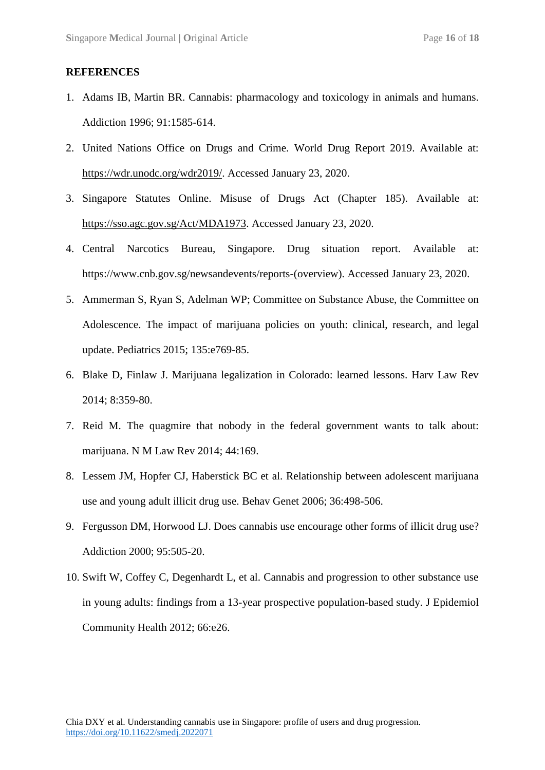#### **REFERENCES**

- 1. Adams IB, Martin BR. Cannabis: pharmacology and toxicology in animals and humans. Addiction 1996; 91:1585-614.
- 2. United Nations Office on Drugs and Crime. World Drug Report 2019. Available at: [https://wdr.unodc.org/wdr2019/.](https://wdr.unodc.org/wdr2019/) Accessed January 23, 2020.
- 3. Singapore Statutes Online. Misuse of Drugs Act (Chapter 185). Available at: [https://sso.agc.gov.sg/Act/MDA1973.](https://sso.agc.gov.sg/Act/MDA1973) Accessed January 23, 2020.
- 4. Central Narcotics Bureau, Singapore. Drug situation report. Available at: [https://www.cnb.gov.sg/newsandevents/reports-\(overview\).](https://www.cnb.gov.sg/newsandevents/reports-(overview)) Accessed January 23, 2020.
- 5. Ammerman S, Ryan S, Adelman WP; Committee on Substance Abuse, the Committee on Adolescence. The impact of marijuana policies on youth: clinical, research, and legal update. Pediatrics 2015; 135:e769-85.
- 6. Blake D, Finlaw J. Marijuana legalization in Colorado: learned lessons. Harv Law Rev 2014; 8:359-80.
- 7. Reid M. The quagmire that nobody in the federal government wants to talk about: marijuana. N M Law Rev 2014; 44:169.
- 8. Lessem JM, Hopfer CJ, Haberstick BC et al. Relationship between adolescent marijuana use and young adult illicit drug use. Behav Genet 2006; 36:498-506.
- 9. Fergusson DM, Horwood LJ. Does cannabis use encourage other forms of illicit drug use? Addiction 2000; 95:505-20.
- 10. Swift W, Coffey C, Degenhardt L, et al. Cannabis and progression to other substance use in young adults: findings from a 13-year prospective population-based study. J Epidemiol Community Health 2012; 66:e26.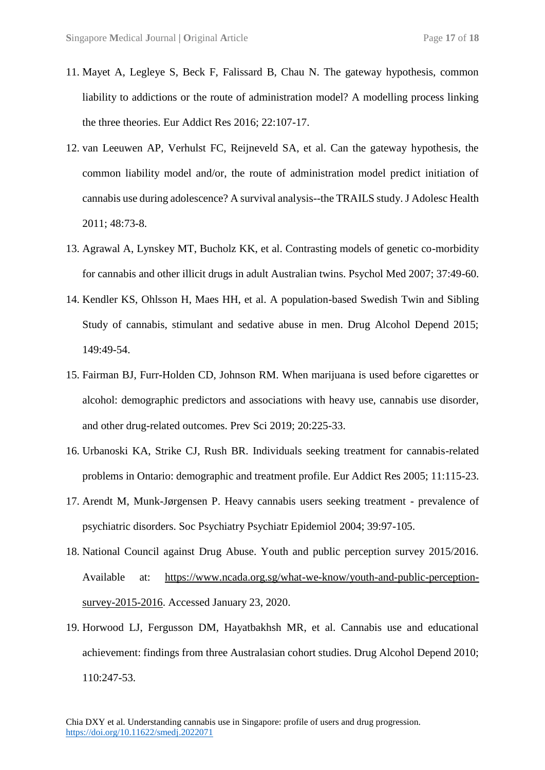- 11. Mayet A, Legleye S, Beck F, Falissard B, Chau N. The gateway hypothesis, common liability to addictions or the route of administration model? A modelling process linking the three theories. Eur Addict Res 2016; 22:107-17.
- 12. van Leeuwen AP, Verhulst FC, Reijneveld SA, et al. Can the gateway hypothesis, the common liability model and/or, the route of administration model predict initiation of cannabis use during adolescence? A survival analysis--the TRAILS study. J Adolesc Health 2011; 48:73-8.
- 13. Agrawal A, Lynskey MT, Bucholz KK, et al. Contrasting models of genetic co-morbidity for cannabis and other illicit drugs in adult Australian twins. Psychol Med 2007; 37:49-60.
- 14. Kendler KS, Ohlsson H, Maes HH, et al. A population-based Swedish Twin and Sibling Study of cannabis, stimulant and sedative abuse in men. Drug Alcohol Depend 2015; 149:49-54.
- 15. Fairman BJ, Furr-Holden CD, Johnson RM. When marijuana is used before cigarettes or alcohol: demographic predictors and associations with heavy use, cannabis use disorder, and other drug-related outcomes. Prev Sci 2019; 20:225-33.
- 16. Urbanoski KA, Strike CJ, Rush BR. Individuals seeking treatment for cannabis-related problems in Ontario: demographic and treatment profile. Eur Addict Res 2005; 11:115-23.
- 17. Arendt M, Munk-Jørgensen P. Heavy cannabis users seeking treatment prevalence of psychiatric disorders. Soc Psychiatry Psychiatr Epidemiol 2004; 39:97-105.
- 18. National Council against Drug Abuse. Youth and public perception survey 2015/2016. Available at: [https://www.ncada.org.sg/what-we-know/youth-and-public-perception](https://www.ncada.org.sg/what-we-know/youth-and-public-perception-survey-2015-2016)[survey-2015-2016.](https://www.ncada.org.sg/what-we-know/youth-and-public-perception-survey-2015-2016) Accessed January 23, 2020.
- 19. Horwood LJ, Fergusson DM, Hayatbakhsh MR, et al. Cannabis use and educational achievement: findings from three Australasian cohort studies. Drug Alcohol Depend 2010; 110:247-53.